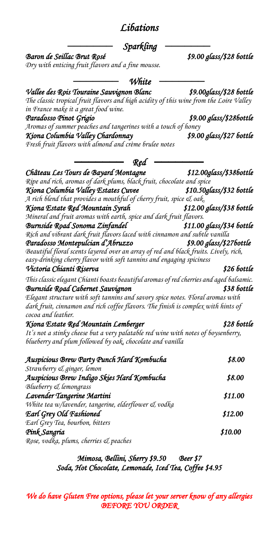| <b>Sparkling</b>                                                                                        |                           |
|---------------------------------------------------------------------------------------------------------|---------------------------|
| Baron de Seillac Brut Rosé                                                                              | \$9.00 glass/\$28 bottle  |
| Dry with enticing fruit flavors and a fine mousse.                                                      |                           |
| White                                                                                                   |                           |
| Vallee des Rois Touraine Sauvignon Blanc                                                                | \$9.00glass/\$28 bottle   |
| The classic tropical fruit flavors and high acidity of this wine from the Loire Valley                  |                           |
| in France make it a great food wine.                                                                    |                           |
| Paradosso Pinot Grigio                                                                                  | \$9.00 glass/\$286ottle   |
| Aromas of summer peaches and tangerines with a touch of honey                                           |                           |
| Kiona Columbia Valley Chardonnay                                                                        | \$9.00 glass/\$27 bottle  |
| Fresh fruit flavors with almond and crème brulee notes                                                  |                           |
| Red                                                                                                     |                           |
| Château Les Tours de Bayard Montagne                                                                    | \$12.00glass/\$38bottle   |
| Ripe and rich, aromas of dark plums, black fruit, chocolate and spice                                   |                           |
| Kiona Columbia Valley Estates Cuvee                                                                     | \$10.50glass/\$32 bottle  |
| A rich blend that provides a mouthful of cherry fruit, spice & oak.                                     |                           |
| Kiona Estate Red Mountain Syrah                                                                         | \$12.00 glass/\$38 bottle |
| Mineral and fruit aromas with earth, spice and dark fruit flavors.                                      |                           |
| Burnside Road Sonoma Zinfandel                                                                          | \$11.00 glass/\$34 bottle |
| Rich and vibrant dark fruit flavors laced with cinnamon and subtle vanilla                              |                           |
| Paradosso Montepulcian d'Abruzzo                                                                        | \$9.00 glass/\$27bottle   |
| Beautiful floral scents layered over an array of red and black fruits. Lively, rich,                    |                           |
| easy-drinking cherry flavor with soft tannins and engaging spiciness                                    | \$26 bottle               |
| Victoria Chianti Riserva                                                                                |                           |
| This classic elegant Chianti boasts beautiful aromas of red cherries and aged balsamic.                 |                           |
| Burnside Road Cabernet Sauvignon                                                                        | \$38 bottle               |
| Elegant structure with soft tannins and savory spice notes. Floral aromas with                          |                           |
| dark fruit, cinnamon and rich coffee flavors. The finish is complex with hints of<br>cocoa and leather. |                           |
| Kiona Estate Red Mountain Lemberger                                                                     | \$28 bottle               |
| It's not a stinky cheese but a very palatable red wine with notes of boysenberry,                       |                           |
| blueberry and plum followed by oak, chocolate and vanilla                                               |                           |
| Auspicious Brew Party Punch Hard Kombucha                                                               | \$8.00                    |
| Strawberry & ginger, lemon                                                                              |                           |
| Auspicious Brew Indigo Skies Hard Kombucha                                                              | \$8.00                    |
| Blueberry & lemongrass                                                                                  |                           |
| Lavender Tangerine Martini                                                                              | \$11.00                   |
| White tea w/lavender, tangerine, elderflower & vodka                                                    |                           |
| Earl Grey Old Fashioned                                                                                 | \$12.00                   |
| Earl Grey Tea, bourbon, bitters                                                                         |                           |
| Pink Sangria                                                                                            | \$10.00                   |
| Rose, vodka, plums, cherries & peaches                                                                  |                           |
|                                                                                                         |                           |

*Libations* 

*Mimosa, Bellini, Sherry \$9.50 Beer \$7 Soda, Hot Chocolate, Lemonade, Iced Tea, Coffee \$4.95* 

*We do have Gluten Free options, please let your server know of any allergies BEFORE YOU ORDER*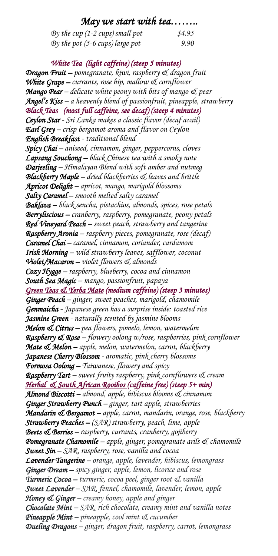### *May we start with tea……..*

| By the cup (1-2 cups) small pot | \$4.95 |
|---------------------------------|--------|
| By the pot (5-6 cups) large pot | 9.90   |

### *White Tea (light caffeine) (steep 5 minutes)*

*Dragon Fruit – pomegranate, kiwi, raspberry & dragon fruit White Grape – currants, rose hip, mallow & cornflower Mango Pear – delicate white peony with bits of mango & pear Angel's Kiss – a heavenly blend of passionfruit, pineapple, strawberry Black Teas (most full caffeine, see decaf) (steep 4 minutes) Ceylon Star - Sri Lanka makes a classic flavor (decaf avail) Earl Grey – crisp bergamot aroma and flavor on Ceylon English Breakfast - traditional blend Spicy Chai – aniseed, cinnamon, ginger, peppercorns, cloves Lapsang Souchong – black Chinese tea with a smoky note Darjeeling – Himalayan Blend with soft amber and nutmeg Blackberry Maple – dried blackberries & leaves and brittle Apricot Delight – apricot, mango, marigold blossoms Salty Caramel – smooth melted salty caramel Baklava – black sencha, pistachios, almonds, spices, rose petals Berryliscious – cranberry, raspberry, pomegranate, peony petals Red Vineyard Peach – sweet peach, strawberry and tangerine Raspberry Aronia – raspberry pieces, pomegranate, rose (decaf) Caramel Chai – caramel, cinnamon, coriander, cardamom Irish Morning – wild strawberry leaves, safflower, coconut Violet/Macaron – violet flowers & almonds Cozy Hygge – raspberry, blueberry, cocoa and cinnamon South Sea Magic – mango, passionfruit, papaya Green Teas & Yerba Mate (medium caffeine) (steep 3 minutes) Ginger Peach – ginger, sweet peaches, marigold, chamomile Genmaicha - Japanese green has a surprise inside: toasted rice Jasmine Green - naturally scented by jasmine blooms Melon & Citrus – pea flowers, pomelo, lemon, watermelon Raspberry & Rose – flowery oolong w/rose, raspberries, pink cornflower Mate & Melon – apple, melon, watermelon, carrot, blackberry Japanese Cherry Blossom - aromatic, pink cherry blossoms Formosa Oolong – Taiwanese, flowery and spicy Raspberry Tart – sweet fruity raspberry, pink cornflowers & cream Herbal & South African Rooibos (caffeine free) (steep 5+ min) Almond Biscotti – almond, apple, hibiscus blooms & cinnamon Ginger Strawberry Punch – ginger, tart apple, strawberries Mandarin & Bergamot – apple, carrot, mandarin, orange, rose, blackberry Strawberry Peaches – (SAR) strawberry, peach, lime, apple Beets & Berries – raspberry, currants, cranberry, gojiberry Pomegranate Chamomile – apple, ginger, pomegranate arils & chamomile Sweet Sin – SAR, raspberry, rose, vanilla and cocoa Lavender Tangerine – orange, apple, lavender, hibiscus, lemongrass Ginger Dream – spicy ginger, apple, lemon, licorice and rose Turmeric Cocoa – turmeric, cocoa peel, ginger root & vanilla Sweet Lavender – SAR, fennel, chamomile, lavender, lemon, apple Honey & Ginger – creamy honey, apple and ginger Chocolate Mint – SAR, rich chocolate, creamy mint and vanilla notes Pineapple Mint – pineapple, cool mint & cucumber Dueling Dragons – ginger, dragon fruit, raspberry, carrot, lemongrass*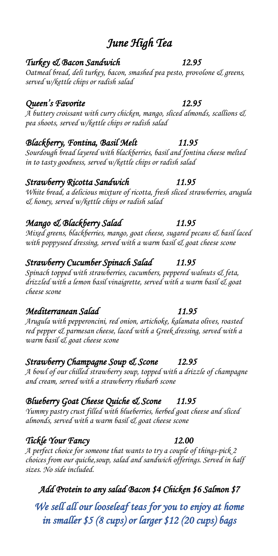# *June High Tea*

### *Turkey & Bacon Sandwich 12.95*

*Oatmeal bread, deli turkey, bacon, smashed pea pesto, provolone & greens, served w/kettle chips or radish salad* 

### *Queen's Favorite 12.95*

*A buttery croissant with curry chicken, mango, sliced almonds, scallions & pea shoots, served w/kettle chips or radish salad* 

### *Blackberry, Fontina, Basil Melt 11.95*

*Sourdough bread layered with blackberries, basil and fontina cheese melted in to tasty goodness, served w/kettle chips or radish salad* 

### *Strawberry Ricotta Sandwich 11.95*

*White bread, a delicious mixture of ricotta, fresh sliced strawberries, arugula & honey, served w/kettle chips or radish salad*

# *Mango & Blackberry Salad 11.95*

*Mixed greens, blackberries, mango, goat cheese, sugared pecans & basil laced with poppyseed dressing, served with a warm basil & goat cheese scone*

# *Strawberry Cucumber Spinach Salad 11.95*

*Spinach topped with strawberries, cucumbers, peppered walnuts & feta, drizzled with a lemon basil vinaigrette, served with a warm basil & goat cheese scone*

### *Mediterranean Salad 11.95*

*Arugula with pepperoncini, red onion, artichoke, kalamata olives, roasted red pepper & parmesan cheese, laced with a Greek dressing, served with a warm basil & goat cheese scone* 

# *Strawberry Champagne Soup & Scone 12.95*

*A bowl of our chilled strawberry soup, topped with a drizzle of champagne and cream, served with a strawberry rhubarb scone*

# *Blueberry Goat Cheese Quiche & Scone 11.95*

*Yummy pastry crust filled with blueberries, herbed goat cheese and sliced almonds, served with a warm basil & goat cheese scone*

# *Tickle Your Fancy 12.00*

*A perfect choice for someone that wants to try a couple of things-pick 2 choices from our quiche,soup, salad and sandwich offerings. Served in half sizes. No side included.*

# *Add Protein to any salad Bacon \$4 Chicken \$6 Salmon \$7*

*We sell all our looseleaf teas for you to enjoy at home in smaller \$5 (8 cups) or larger \$12 (20 cups) bags*